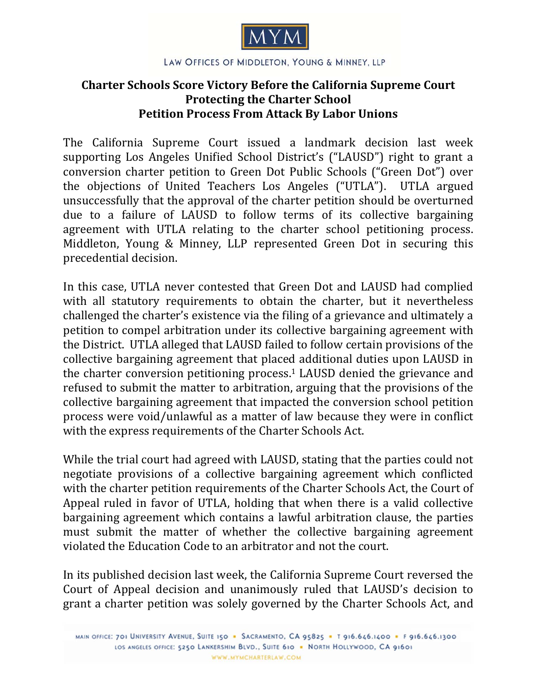

## **Charter Schools Score Victory Before the California Supreme Court Protecting the Charter School Petition Process From Attack By Labor Unions**

The California Supreme Court issued a landmark decision last week supporting Los Angeles Unified School District's ("LAUSD") right to grant a conversion charter petition to Green Dot Public Schools ("Green Dot") over the objections of United Teachers Los Angeles ("UTLA"). UTLA argued unsuccessfully that the approval of the charter petition should be overturned due to a failure of LAUSD to follow terms of its collective bargaining agreement with UTLA relating to the charter school petitioning process. Middleton, Young & Minney, LLP represented Green Dot in securing this precedential decision.

In this case, UTLA never contested that Green Dot and LAUSD had complied with all statutory requirements to obtain the charter, but it nevertheless challenged the charter's existence via the filing of a grievance and ultimately a petition to compel arbitration under its collective bargaining agreement with the District. UTLA alleged that LAUSD failed to follow certain provisions of the collective bargaining agreement that placed additional duties upon LAUSD in the charter conversion petitioning process.<sup>1</sup> LAUSD denied the grievance and refused to submit the matter to arbitration, arguing that the provisions of the collective bargaining agreement that impacted the conversion school petition process were void/unlawful as a matter of law because they were in conflict with the express requirements of the Charter Schools Act.

While the trial court had agreed with LAUSD, stating that the parties could not negotiate provisions of a collective bargaining agreement which conflicted with the charter petition requirements of the Charter Schools Act, the Court of Appeal ruled in favor of UTLA, holding that when there is a valid collective bargaining agreement which contains a lawful arbitration clause, the parties must submit the matter of whether the collective bargaining agreement violated the Education Code to an arbitrator and not the court.

In its published decision last week, the California Supreme Court reversed the Court of Appeal decision and unanimously ruled that LAUSD's decision to grant a charter petition was solely governed by the Charter Schools Act, and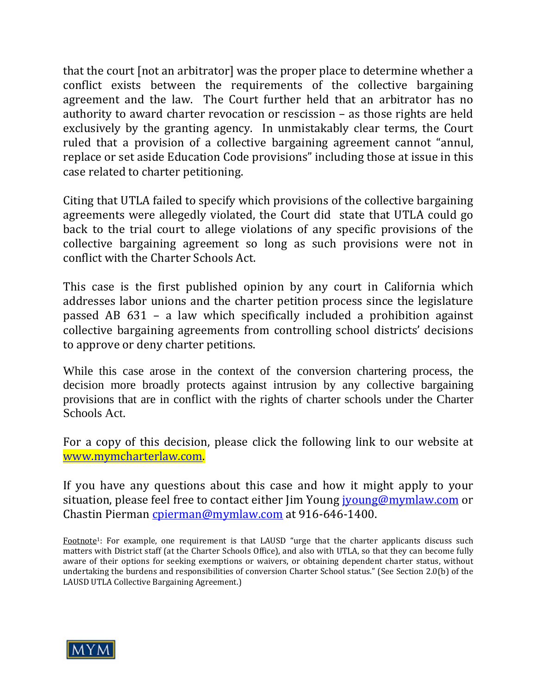that the court [not an arbitrator] was the proper place to determine whether a conflict exists between the requirements of the collective bargaining agreement and the law. The Court further held that an arbitrator has no authority to award charter revocation or rescission  $-$  as those rights are held exclusively by the granting agency. In unmistakably clear terms, the Court ruled that a provision of a collective bargaining agreement cannot "annul, replace or set aside Education Code provisions" including those at issue in this case related to charter petitioning.

Citing that UTLA failed to specify which provisions of the collective bargaining agreements were allegedly violated, the Court did state that UTLA could go back to the trial court to allege violations of any specific provisions of the collective bargaining agreement so long as such provisions were not in conflict with the Charter Schools Act.

This case is the first published opinion by any court in California which addresses labor unions and the charter petition process since the legislature passed AB  $631$  – a law which specifically included a prohibition against collective bargaining agreements from controlling school districts' decisions to approve or deny charter petitions.

While this case arose in the context of the conversion chartering process, the decision more broadly protects against intrusion by any collective bargaining provisions that are in conflict with the rights of charter schools under the Charter Schools Act.

For a copy of this decision, please click the following link to our website at [www.mymcharterlaw.com.](http://www.mymcharterlaw.com/pdf/UTLA v LAUSD Cal Supreme Court Decision 062812.pdf) 

If you have any questions about this case and how it might apply to your situation, please feel free to contact either Jim Young *jyoung@mymlaw.com* or Chastin Pierman cpierman@mymlaw.com at 916-646-1400.

Footnote<sup>1</sup>: For example, one requirement is that LAUSD "urge that the charter applicants discuss such matters with District staff (at the Charter Schools Office), and also with UTLA, so that they can become fully aware of their options for seeking exemptions or waivers, or obtaining dependent charter status, without undertaking the burdens and responsibilities of conversion Charter School status." (See Section 2.0(b) of the LAUSD UTLA Collective Bargaining Agreement.)